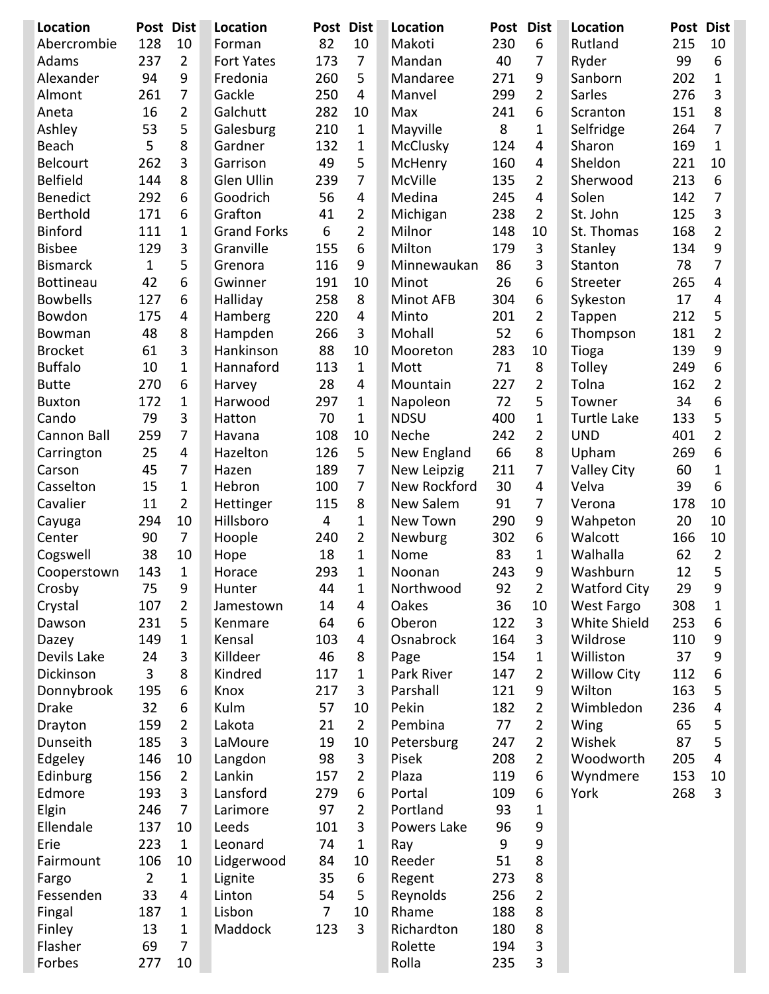| <b>Location</b>  | Post Dist      |                | Location           |                | Post Dist      | Location         | <b>Post</b> | <b>Dist</b>    | <b>Location</b>     | Post | <b>Dist</b>    |
|------------------|----------------|----------------|--------------------|----------------|----------------|------------------|-------------|----------------|---------------------|------|----------------|
| Abercrombie      | 128            | 10             | Forman             | 82             | 10             | Makoti           | 230         | 6              | Rutland             | 215  | 10             |
| Adams            | 237            | $\overline{2}$ | <b>Fort Yates</b>  | 173            | $\overline{7}$ | Mandan           | 40          | 7              | Ryder               | 99   | 6              |
| Alexander        | 94             | 9              | Fredonia           | 260            | 5              | Mandaree         | 271         | 9              | Sanborn             | 202  | 1              |
| Almont           | 261            | $\overline{7}$ | Gackle             | 250            | 4              | Manvel           | 299         | $\overline{2}$ | Sarles              | 276  | 3              |
| Aneta            | 16             | $\overline{2}$ | Galchutt           | 282            | 10             | Max              | 241         | 6              | Scranton            | 151  | 8              |
| Ashley           | 53             | 5              | Galesburg          | 210            | $\mathbf{1}$   | Mayville         | 8           | 1              | Selfridge           | 264  | 7              |
| Beach            | 5              | 8              | Gardner            | 132            | $\mathbf{1}$   | McClusky         | 124         | 4              | Sharon              | 169  | $\mathbf{1}$   |
| <b>Belcourt</b>  | 262            | 3              | Garrison           | 49             | 5              | McHenry          | 160         | 4              | Sheldon             | 221  | 10             |
| <b>Belfield</b>  | 144            | 8              | Glen Ullin         | 239            | $\overline{7}$ | McVille          | 135         | $\overline{2}$ | Sherwood            | 213  | 6              |
| <b>Benedict</b>  | 292            | 6              | Goodrich           | 56             | $\overline{4}$ | Medina           | 245         | 4              | Solen               | 142  | $\overline{7}$ |
| Berthold         | 171            | 6              | Grafton            | 41             | $\overline{2}$ | Michigan         | 238         | $\overline{2}$ | St. John            | 125  | 3              |
| <b>Binford</b>   | 111            | 1              | <b>Grand Forks</b> | 6              | $\overline{2}$ | Milnor           | 148         | 10             | St. Thomas          | 168  | $\overline{2}$ |
| <b>Bisbee</b>    | 129            | 3              | Granville          | 155            | 6              | Milton           | 179         | 3              | Stanley             | 134  | 9              |
| <b>Bismarck</b>  | $\mathbf 1$    | 5              | Grenora            | 116            | 9              | Minnewaukan      | 86          | 3              | Stanton             | 78   | 7              |
| <b>Bottineau</b> | 42             | 6              | Gwinner            | 191            | 10             | Minot            | 26          | 6              | Streeter            | 265  | 4              |
| <b>Bowbells</b>  | 127            | 6              | Halliday           | 258            | 8              | <b>Minot AFB</b> | 304         | 6              | Sykeston            | 17   | 4              |
| Bowdon           | 175            | $\overline{4}$ | Hamberg            | 220            | $\overline{4}$ | Minto            | 201         | $\overline{2}$ | Tappen              | 212  | 5              |
| Bowman           | 48             | 8              | Hampden            | 266            | 3              | Mohall           | 52          | 6              | Thompson            | 181  | $\overline{2}$ |
| <b>Brocket</b>   | 61             | 3              | Hankinson          | 88             | 10             | Mooreton         | 283         | 10             | Tioga               | 139  | 9              |
| <b>Buffalo</b>   | 10             | 1              | Hannaford          | 113            | $\mathbf{1}$   | Mott             | 71          | 8              | Tolley              | 249  | 6              |
| <b>Butte</b>     | 270            | 6              | Harvey             | 28             | 4              | Mountain         | 227         | $\overline{2}$ | Tolna               | 162  | $\overline{2}$ |
| <b>Buxton</b>    | 172            | 1              | Harwood            | 297            | 1              | Napoleon         | 72          | 5              | Towner              | 34   | 6              |
| Cando            | 79             | 3              | Hatton             | 70             | $\mathbf{1}$   | <b>NDSU</b>      | 400         | $\mathbf 1$    | <b>Turtle Lake</b>  | 133  | 5              |
| Cannon Ball      | 259            | 7              | Havana             | 108            | 10             | Neche            | 242         | $\overline{2}$ | <b>UND</b>          | 401  | $\overline{2}$ |
| Carrington       | 25             | 4              | Hazelton           | 126            | 5              | New England      | 66          | 8              | Upham               | 269  | 6              |
| Carson           | 45             | 7              | Hazen              | 189            | $\overline{7}$ | New Leipzig      | 211         | 7              | <b>Valley City</b>  | 60   | $\mathbf{1}$   |
| Casselton        | 15             | 1              | Hebron             | 100            | 7              | New Rockford     | 30          | 4              | Velva               | 39   | 6              |
| Cavalier         | 11             | $\overline{2}$ | Hettinger          | 115            | 8              | New Salem        | 91          | 7              | Verona              | 178  | 10             |
| Cayuga           | 294            | 10             | Hillsboro          | 4              | $\mathbf{1}$   | New Town         | 290         | 9              | Wahpeton            | 20   | 10             |
| Center           | 90             | $\overline{7}$ | Hoople             | 240            | $\overline{2}$ | Newburg          | 302         | 6              | Walcott             | 166  | 10             |
| Cogswell         | 38             | 10             | Hope               | 18             | $\mathbf 1$    | Nome             | 83          | 1              | Walhalla            | 62   | $\overline{2}$ |
| Cooperstown      | 143            | 1              | Horace             | 293            | $\mathbf{1}$   | Noonan           | 243         | 9              | Washburn            | 12   | 5              |
| Crosby           | 75             | 9              | Hunter             | 44             | 1              | Northwood        | 92          | $\overline{2}$ | <b>Watford City</b> | 29   | 9              |
| Crystal          | 107            | 2              | Jamestown          | 14             | 4              | Oakes            | 36          | 10             | <b>West Fargo</b>   | 308  | $\mathbf{1}$   |
| Dawson           | 231            | 5              | Kenmare            | 64             | 6              | Oberon           | 122         | 3              | White Shield        | 253  | 6              |
| Dazey            | 149            | $\mathbf{1}$   | Kensal             | 103            | 4              | Osnabrock        | 164         | 3              | Wildrose            | 110  | 9              |
| Devils Lake      | 24             | 3              | Killdeer           | 46             | 8              | Page             | 154         | 1              | Williston           | 37   | 9              |
| Dickinson        | 3              | 8              | Kindred            | 117            | $\mathbf{1}$   | Park River       | 147         | $\overline{2}$ | <b>Willow City</b>  | 112  | 6              |
| Donnybrook       | 195            | 6              | Knox               | 217            | 3              | Parshall         | 121         | 9              | Wilton              | 163  | 5              |
| <b>Drake</b>     | 32             | 6              | Kulm               | 57             | 10             | Pekin            | 182         | $\overline{2}$ | Wimbledon           | 236  | $\overline{4}$ |
| Drayton          | 159            | $\overline{2}$ | Lakota             | 21             | $\overline{2}$ | Pembina          | 77          | $\overline{2}$ | Wing                | 65   | 5              |
| Dunseith         | 185            | 3              | LaMoure            | 19             | 10             | Petersburg       | 247         | $\overline{2}$ | Wishek              | 87   | 5              |
| Edgeley          | 146            | 10             | Langdon            | 98             | 3              | Pisek            | 208         | $\overline{2}$ | Woodworth           | 205  | $\overline{4}$ |
| Edinburg         | 156            | $\overline{2}$ | Lankin             | 157            | $\overline{2}$ | Plaza            | 119         | 6              | Wyndmere            | 153  | 10             |
| Edmore           | 193            | 3              | Lansford           | 279            | 6              | Portal           | 109         | 6              | York                | 268  | 3              |
| Elgin            | 246            | $\overline{7}$ | Larimore           | 97             | $\overline{2}$ | Portland         | 93          | 1              |                     |      |                |
| Ellendale        | 137            | 10             | Leeds              | 101            | 3              | Powers Lake      | 96          | 9              |                     |      |                |
| Erie             | 223            | $\mathbf{1}$   | Leonard            | 74             | $\mathbf{1}$   | Ray              | 9           | 9              |                     |      |                |
| Fairmount        | 106            | 10             | Lidgerwood         | 84             | 10             | Reeder           | 51          | 8              |                     |      |                |
| Fargo            | $\overline{2}$ | $\mathbf{1}$   | Lignite            | 35             | 6              | Regent           | 273         | 8              |                     |      |                |
| Fessenden        | 33             | $\overline{4}$ | Linton             | 54             | 5              | Reynolds         | 256         | $\overline{2}$ |                     |      |                |
| Fingal           | 187            | $\mathbf{1}$   | Lisbon             | $\overline{7}$ | 10             | Rhame            | 188         | 8              |                     |      |                |
| Finley           | 13             | 1              | Maddock            | 123            | 3              | Richardton       | 180         | 8              |                     |      |                |
| Flasher          | 69             | $\overline{7}$ |                    |                |                | Rolette          | 194         | 3              |                     |      |                |
| Forbes           | 277            | 10             |                    |                |                | Rolla            | 235         | 3              |                     |      |                |
|                  |                |                |                    |                |                |                  |             |                |                     |      |                |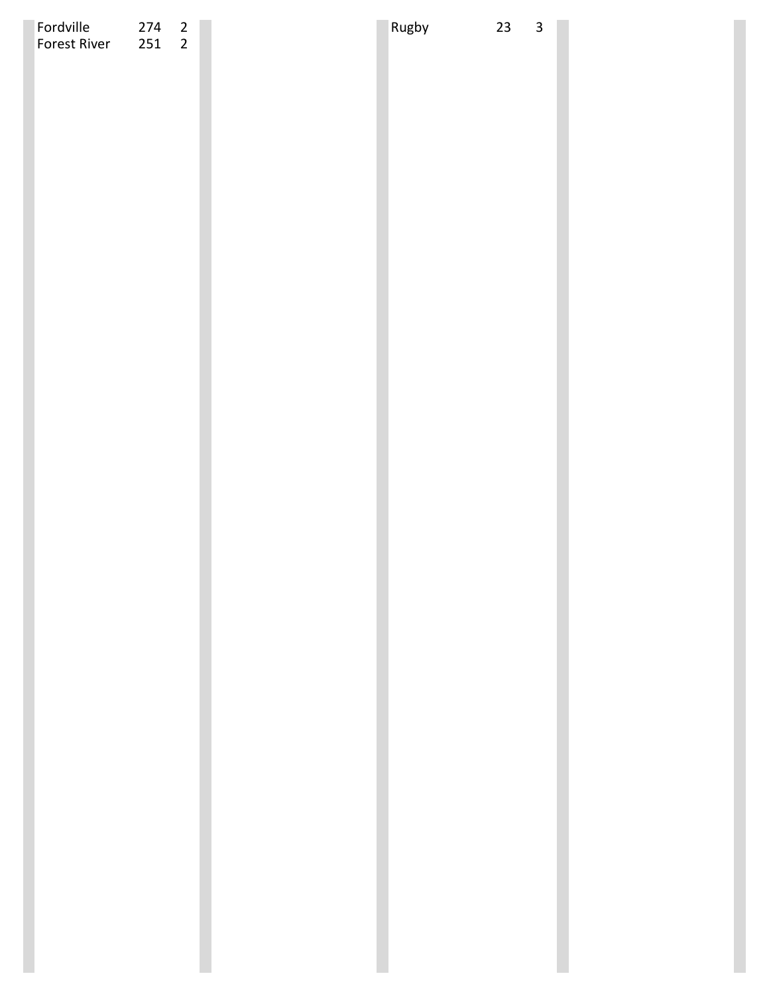| Fordville<br>Forest River | 274<br>251 | $\overline{2}$<br>$\overline{2}$ | Rugby | 23 | $\mathbf{3}$ |
|---------------------------|------------|----------------------------------|-------|----|--------------|
|                           |            |                                  |       |    |              |
|                           |            |                                  |       |    |              |
|                           |            |                                  |       |    |              |
|                           |            |                                  |       |    |              |
|                           |            |                                  |       |    |              |
|                           |            |                                  |       |    |              |
|                           |            |                                  |       |    |              |
|                           |            |                                  |       |    |              |
|                           |            |                                  |       |    |              |
|                           |            |                                  |       |    |              |
|                           |            |                                  |       |    |              |
|                           |            |                                  |       |    |              |
|                           |            |                                  |       |    |              |
|                           |            |                                  |       |    |              |
|                           |            |                                  |       |    |              |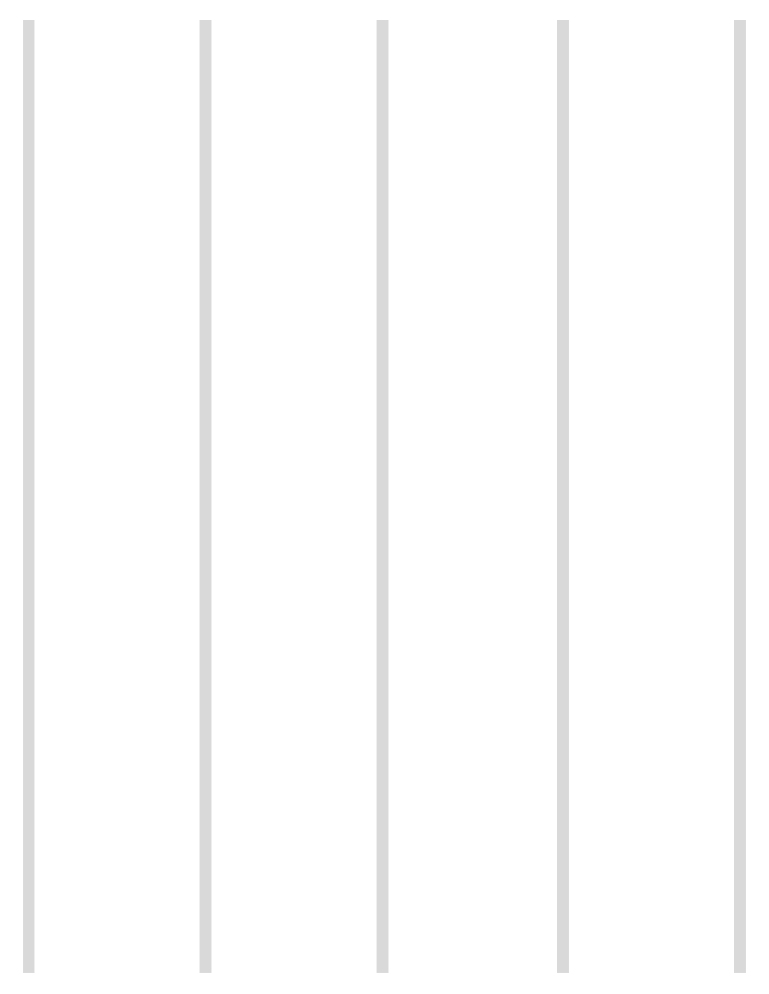